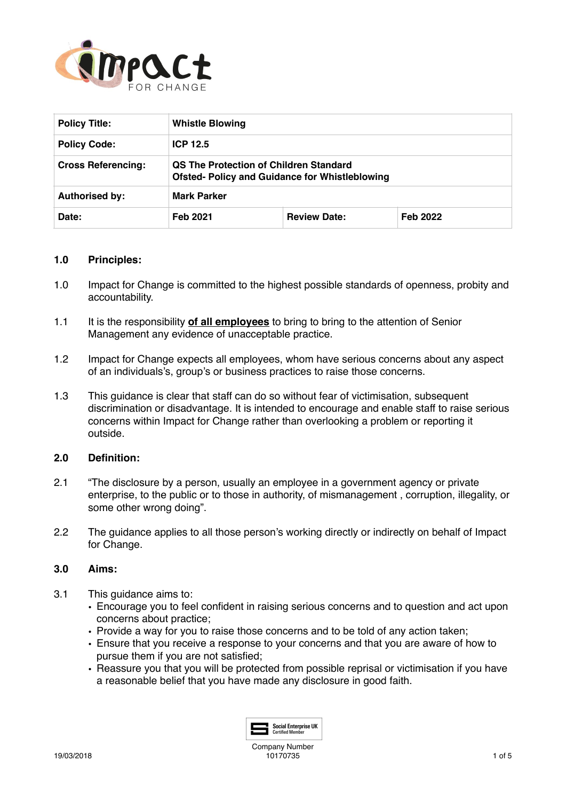

| <b>Policy Title:</b>      | <b>Whistle Blowing</b>                                                                                 |                     |                 |
|---------------------------|--------------------------------------------------------------------------------------------------------|---------------------|-----------------|
| <b>Policy Code:</b>       | ICP $12.5$                                                                                             |                     |                 |
| <b>Cross Referencing:</b> | <b>QS The Protection of Children Standard</b><br><b>Ofsted- Policy and Guidance for Whistleblowing</b> |                     |                 |
| <b>Authorised by:</b>     | <b>Mark Parker</b>                                                                                     |                     |                 |
| Date:                     | Feb 2021                                                                                               | <b>Review Date:</b> | <b>Feb 2022</b> |

# **1.0 Principles:**

- 1.0 Impact for Change is committed to the highest possible standards of openness, probity and accountability.
- 1.1 It is the responsibility **of all employees** to bring to bring to the attention of Senior Management any evidence of unacceptable practice.
- 1.2 Impact for Change expects all employees, whom have serious concerns about any aspect of an individuals's, group's or business practices to raise those concerns.
- 1.3 This guidance is clear that staff can do so without fear of victimisation, subsequent discrimination or disadvantage. It is intended to encourage and enable staff to raise serious concerns within Impact for Change rather than overlooking a problem or reporting it outside.

# **2.0 Definition:**

- 2.1 "The disclosure by a person, usually an employee in a government agency or private enterprise, to the public or to those in authority, of mismanagement , corruption, illegality, or some other wrong doing".
- 2.2 The guidance applies to all those person's working directly or indirectly on behalf of Impact for Change.

#### **3.0 Aims:**

- 3.1 This guidance aims to:
	- Encourage you to feel confident in raising serious concerns and to question and act upon concerns about practice;
	- Provide a way for you to raise those concerns and to be told of any action taken;
	- Ensure that you receive a response to your concerns and that you are aware of how to pursue them if you are not satisfied;
	- Reassure you that you will be protected from possible reprisal or victimisation if you have a reasonable belief that you have made any disclosure in good faith.

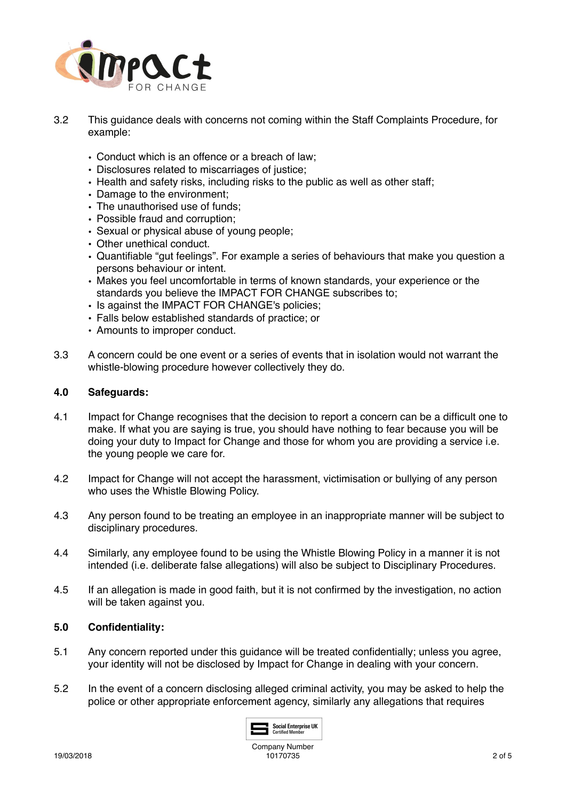

- 3.2 This guidance deals with concerns not coming within the Staff Complaints Procedure, for example:
	- Conduct which is an offence or a breach of law;
	- Disclosures related to miscarriages of justice;
	- Health and safety risks, including risks to the public as well as other staff;
	- Damage to the environment;
	- The unauthorised use of funds;
	- Possible fraud and corruption;
	- Sexual or physical abuse of young people;
	- Other unethical conduct.
	- Quantifiable "gut feelings". For example a series of behaviours that make you question a persons behaviour or intent.
	- Makes you feel uncomfortable in terms of known standards, your experience or the standards you believe the IMPACT FOR CHANGE subscribes to;
	- Is against the IMPACT FOR CHANGE's policies;
	- Falls below established standards of practice; or
	- Amounts to improper conduct.
- 3.3 A concern could be one event or a series of events that in isolation would not warrant the whistle-blowing procedure however collectively they do.

# **4.0 Safeguards:**

- 4.1 Impact for Change recognises that the decision to report a concern can be a difficult one to make. If what you are saying is true, you should have nothing to fear because you will be doing your duty to Impact for Change and those for whom you are providing a service i.e. the young people we care for.
- 4.2 Impact for Change will not accept the harassment, victimisation or bullying of any person who uses the Whistle Blowing Policy.
- 4.3 Any person found to be treating an employee in an inappropriate manner will be subject to disciplinary procedures.
- 4.4 Similarly, any employee found to be using the Whistle Blowing Policy in a manner it is not intended (i.e. deliberate false allegations) will also be subject to Disciplinary Procedures.
- 4.5 If an allegation is made in good faith, but it is not confirmed by the investigation, no action will be taken against you.

#### **5.0 Confidentiality:**

- 5.1 Any concern reported under this guidance will be treated confidentially; unless you agree, your identity will not be disclosed by Impact for Change in dealing with your concern.
- 5.2 In the event of a concern disclosing alleged criminal activity, you may be asked to help the police or other appropriate enforcement agency, similarly any allegations that requires

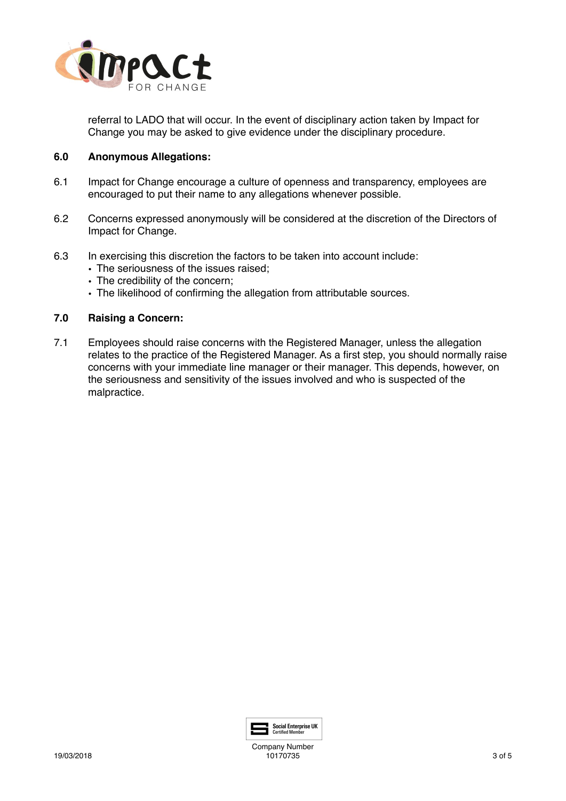

referral to LADO that will occur. In the event of disciplinary action taken by Impact for Change you may be asked to give evidence under the disciplinary procedure.

# **6.0 Anonymous Allegations:**

- 6.1 Impact for Change encourage a culture of openness and transparency, employees are encouraged to put their name to any allegations whenever possible.
- 6.2 Concerns expressed anonymously will be considered at the discretion of the Directors of Impact for Change.
- 6.3 In exercising this discretion the factors to be taken into account include:
	- The seriousness of the issues raised;
	- The credibility of the concern;
	- The likelihood of confirming the allegation from attributable sources.

# **7.0 Raising a Concern:**

7.1 Employees should raise concerns with the Registered Manager, unless the allegation relates to the practice of the Registered Manager. As a first step, you should normally raise concerns with your immediate line manager or their manager. This depends, however, on the seriousness and sensitivity of the issues involved and who is suspected of the malpractice.



Company Number 10170735 3 of 5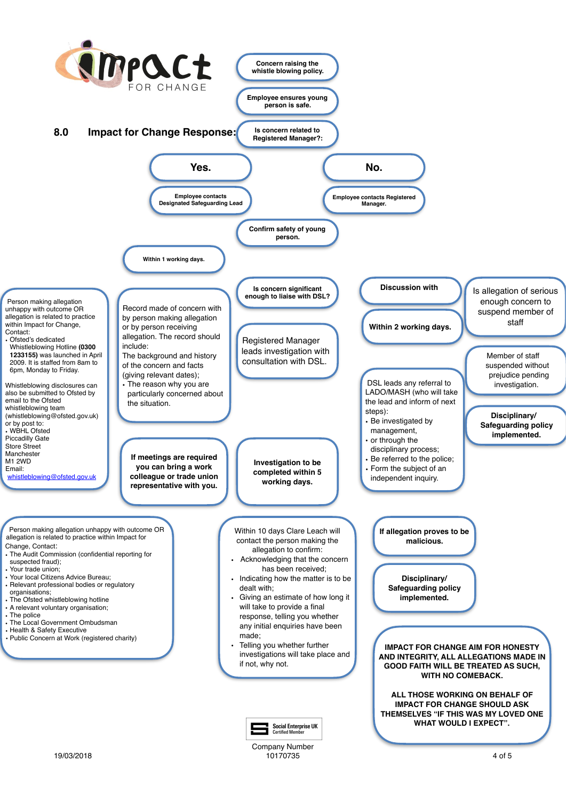